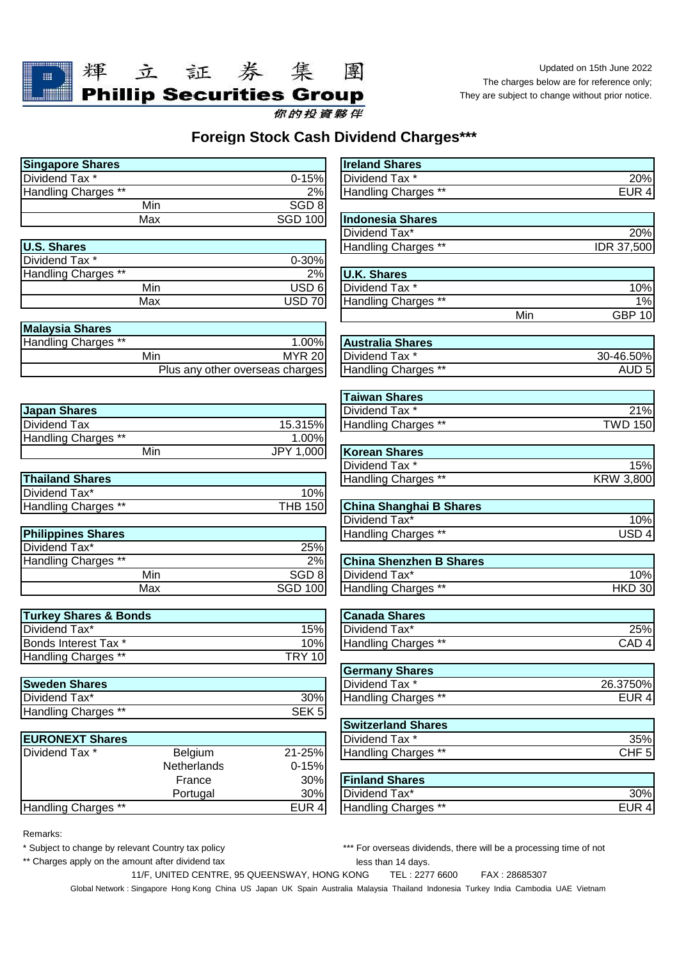

Updated on 15th June 2022 The charges below are for reference only; They are subject to change without prior notice.

## **Foreign Stock Cash Dividend Charges\*\*\***

| <b>Singapore Shares</b> |                  | <b>Ireland Shares</b>   |
|-------------------------|------------------|-------------------------|
| <b>Dividend Tax *</b>   | $0 - 15%$        | <b>IDividend Tax</b> *  |
| Handling Charges **     | 2%               | <b>Handling Charges</b> |
| Min                     | SGD <sub>8</sub> |                         |
| Max                     | <b>SGD 100</b>   | Indonesia Shares        |
|                         |                  | Dividend Tax*           |

| <b>IU.S. Shares</b> |                  | Handling Ch  |
|---------------------|------------------|--------------|
| Dividend Tax *      | $0 - 30%$        |              |
| Handling Charges ** | 2%               | U.K. Shares  |
| Min                 | USD <sub>6</sub> | Dividend Tax |
| Max                 | USD 70           | Handling Ch  |

| <b>Malaysia Shares</b> |                                 |               |                         |
|------------------------|---------------------------------|---------------|-------------------------|
| Handling Charges **    |                                 | 1.00%         | <b>Australia Shares</b> |
|                        | Min                             | <b>MYR 20</b> | Dividend Tax *          |
|                        | Plus any other overseas charges |               | Handling Charges        |

| Japan Shares        |           | Dividend Tax *       |
|---------------------|-----------|----------------------|
| Dividend Tax        | 15.315%   | Handling Charg       |
| Handling Charges ** | $1.00\%$  |                      |
| Min                 | JPY 1,000 | <b>Korean Shares</b> |

| <b>Thailand Shares</b> |                 | Handling Charges **     |
|------------------------|-----------------|-------------------------|
| Dividend Tax*          | 10%             |                         |
| Handling Charges **    | <b>THB 1501</b> | China Shanghai B Shares |

| <b>Philippines Shares</b> |                  | Handling Charges **            |
|---------------------------|------------------|--------------------------------|
| Dividend Tax*             | 25%              |                                |
| Handling Charges **       | 2%               | <b>China Shenzhen B Shares</b> |
| Min                       | SGD <sub>8</sub> | Dividend Tax*                  |
| Max                       | <b>SGD 100</b>   | Handling Charges **            |

| <b>Turkey Shares &amp; Bonds</b> |                | <b>Canada Shares</b> |
|----------------------------------|----------------|----------------------|
| <b>IDividend Tax*</b>            | 15%            | Dividend Tax*        |
| <b>Bonds Interest Tax *</b>      | 10%।           | Handling Charge      |
| Handling Charges **              | <b>TRY 101</b> |                      |

| <b>Sweden Shares</b> |                  |
|----------------------|------------------|
| Dividend Tax*        | 30%              |
| Handling Charges **  | SEK <sub>5</sub> |

| <b>EURONEXT Shares</b> |                |           | Dividend Tax *        |
|------------------------|----------------|-----------|-----------------------|
| Dividend Tax *         | <b>Belgium</b> | 21-25%    | Handling Charge       |
|                        | Netherlands    | $0 - 15%$ |                       |
|                        | France         | 30%       | <b>Finland Shares</b> |
|                        | Portugal       | 30%       | Dividend Tax*         |
| Handling Charges **    |                | EUR 4     | Handling Charge       |

| <b>Singapore Shares</b>          |                                 |                  | <b>Ireland Shares</b>          |     |                  |
|----------------------------------|---------------------------------|------------------|--------------------------------|-----|------------------|
| Dividend Tax *                   |                                 | $0 - 15%$        | Dividend Tax *                 |     | 20%              |
| Handling Charges **              |                                 | 2%               | Handling Charges **            |     | EUR 4            |
|                                  | Min                             | SGD <sub>8</sub> |                                |     |                  |
|                                  | Max                             | <b>SGD 100</b>   | <b>Indonesia Shares</b>        |     |                  |
|                                  |                                 |                  | Dividend Tax*                  |     | 20%              |
| <b>U.S. Shares</b>               |                                 |                  | Handling Charges **            |     | IDR 37,500       |
| Dividend Tax <sup>*</sup>        |                                 | 0-30%            |                                |     |                  |
| Handling Charges **              |                                 | 2%               | <b>U.K. Shares</b>             |     |                  |
|                                  | Min                             | USD 6            | Dividend Tax *                 |     | 10%              |
|                                  | Max                             | <b>USD 70</b>    | Handling Charges **            |     | 1%               |
|                                  |                                 |                  |                                | Min | <b>GBP 10</b>    |
| <b>Malaysia Shares</b>           |                                 |                  |                                |     |                  |
| Handling Charges **              |                                 | 1.00%            | <b>Australia Shares</b>        |     |                  |
|                                  | Min                             | <b>MYR 20</b>    | Dividend Tax *                 |     | 30-46.50%        |
|                                  | Plus any other overseas charges |                  | Handling Charges **            |     | AUD <sub>5</sub> |
|                                  |                                 |                  | <b>Taiwan Shares</b>           |     |                  |
| <b>Japan Shares</b>              |                                 |                  | Dividend Tax *                 |     | 21%              |
| Dividend Tax                     |                                 | 15.315%          | Handling Charges **            |     | <b>TWD 150</b>   |
| <b>Handling Charges **</b>       |                                 | 1.00%            |                                |     |                  |
|                                  | Min                             | JPY 1,000        | <b>Korean Shares</b>           |     |                  |
|                                  |                                 |                  | Dividend Tax *                 |     | 15%              |
| <b>Thailand Shares</b>           |                                 |                  | <b>Handling Charges **</b>     |     | <b>KRW 3,800</b> |
| Dividend Tax*                    |                                 | 10%              |                                |     |                  |
| Handling Charges **              |                                 | <b>THB 150</b>   | <b>China Shanghai B Shares</b> |     |                  |
|                                  |                                 |                  | Dividend Tax*                  |     | 10%              |
| <b>Philippines Shares</b>        |                                 |                  | Handling Charges **            |     | USD <sub>4</sub> |
| Dividend Tax*                    |                                 | 25%              |                                |     |                  |
| Handling Charges **              |                                 | 2%               | <b>China Shenzhen B Shares</b> |     |                  |
|                                  | Min                             | SGD <sub>8</sub> | Dividend Tax*                  |     | 10%              |
|                                  | Max                             | <b>SGD 100</b>   | Handling Charges **            |     | $HKD$ 30         |
| <b>Turkey Shares &amp; Bonds</b> |                                 |                  | <b>Canada Shares</b>           |     |                  |
| Dividend Tax*                    |                                 | 15%              | Dividend Tax*                  |     | 25%              |
| Bonds Interest Tax *             |                                 | 10%              | Handling Charges **            |     | CAD <sub>4</sub> |
| <b>Handling Charges **</b>       |                                 | <b>TRY 10</b>    |                                |     |                  |
|                                  |                                 |                  | <b>Germany Shares</b>          |     |                  |
| <b>Sweden Shares</b>             |                                 |                  | Dividend Tax *                 |     | 26.3750%         |
| Dividend Tax*                    |                                 | 30%              | Handling Charges **            |     | EUR 4            |
| Handling Charges **              |                                 | SEK <sub>5</sub> |                                |     |                  |
|                                  |                                 |                  | <b>Switzerland Shares</b>      |     |                  |
| <b>EURONEXT Shares</b>           |                                 |                  | Dividend Tax *                 |     | 35%              |
| Dividend Tax *                   | Belgium                         | 21-25%           | Handling Charges **            |     | CHF 5            |
|                                  | Netherlands                     | $0 - 15%$        |                                |     |                  |
|                                  | France                          | 30%              | <b>Finland Shares</b>          |     |                  |
|                                  |                                 |                  |                                |     |                  |

**Dividend Tax**\* Handling Charges

Remarks:

\*\* Charges apply on the amount after dividend tax

 less than 14 days. \* Subject to change by relevant Country tax policy \*\*\* For overseas dividends, there will be a processing time of not

11/F, UNITED CENTRE, 95 QUEENSWAY, HONG KONG TEL : 2277 6600 FAX : 28685307

Global Network : Singapore Hong Kong China US Japan UK Spain Australia Malaysia Thailand Indonesia Turkey India Cambodia UAE Vietnam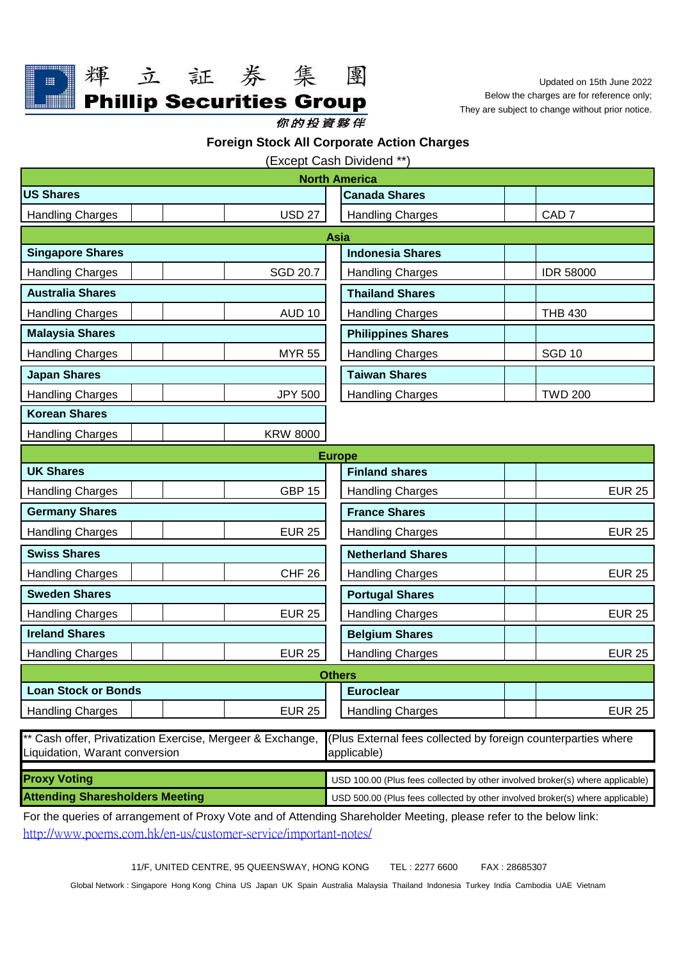

輝

立証券集

**Phillip Securities Group** 

Updated on 15th June 2022 Below the charges are for reference only; They are subject to change without prior notice.

你的投資夥伴

**Foreign Stock All Corporate Action Charges**

團

(Except Cash Dividend \*\*)

| <b>North America</b>                                                                                                    |                 |                                                                               |                  |
|-------------------------------------------------------------------------------------------------------------------------|-----------------|-------------------------------------------------------------------------------|------------------|
| <b>US Shares</b>                                                                                                        |                 | <b>Canada Shares</b>                                                          |                  |
| <b>Handling Charges</b>                                                                                                 | <b>USD 27</b>   | <b>Handling Charges</b>                                                       | CAD <sub>7</sub> |
|                                                                                                                         |                 | Asia                                                                          |                  |
| <b>Singapore Shares</b>                                                                                                 |                 | <b>Indonesia Shares</b>                                                       |                  |
| <b>Handling Charges</b>                                                                                                 | <b>SGD 20.7</b> | <b>Handling Charges</b>                                                       | <b>IDR 58000</b> |
| <b>Australia Shares</b>                                                                                                 |                 | <b>Thailand Shares</b>                                                        |                  |
| <b>Handling Charges</b>                                                                                                 | <b>AUD 10</b>   | <b>Handling Charges</b>                                                       | <b>THB 430</b>   |
| <b>Malaysia Shares</b>                                                                                                  |                 | <b>Philippines Shares</b>                                                     |                  |
| <b>Handling Charges</b>                                                                                                 | <b>MYR 55</b>   | <b>Handling Charges</b>                                                       | <b>SGD 10</b>    |
| <b>Japan Shares</b>                                                                                                     |                 | <b>Taiwan Shares</b>                                                          |                  |
| <b>Handling Charges</b>                                                                                                 | <b>JPY 500</b>  | <b>Handling Charges</b>                                                       | <b>TWD 200</b>   |
| <b>Korean Shares</b>                                                                                                    |                 |                                                                               |                  |
| <b>Handling Charges</b>                                                                                                 | <b>KRW 8000</b> |                                                                               |                  |
|                                                                                                                         |                 | <b>Europe</b>                                                                 |                  |
| <b>UK Shares</b>                                                                                                        |                 | <b>Finland shares</b>                                                         |                  |
| <b>Handling Charges</b>                                                                                                 | <b>GBP 15</b>   | <b>Handling Charges</b>                                                       | <b>EUR 25</b>    |
| <b>Germany Shares</b>                                                                                                   |                 | <b>France Shares</b>                                                          |                  |
| <b>Handling Charges</b>                                                                                                 | <b>EUR 25</b>   | <b>Handling Charges</b>                                                       | <b>EUR 25</b>    |
| <b>Swiss Shares</b>                                                                                                     |                 | <b>Netherland Shares</b>                                                      |                  |
| <b>Handling Charges</b>                                                                                                 | <b>CHF 26</b>   | <b>Handling Charges</b>                                                       | <b>EUR 25</b>    |
| <b>Sweden Shares</b>                                                                                                    |                 | <b>Portugal Shares</b>                                                        |                  |
| <b>Handling Charges</b>                                                                                                 | <b>EUR 25</b>   | <b>Handling Charges</b>                                                       | <b>EUR 25</b>    |
| <b>Ireland Shares</b>                                                                                                   |                 | <b>Belgium Shares</b>                                                         |                  |
| <b>Handling Charges</b>                                                                                                 | <b>EUR 25</b>   | <b>Handling Charges</b>                                                       | <b>EUR 25</b>    |
|                                                                                                                         |                 | <b>Others</b>                                                                 |                  |
| <b>Loan Stock or Bonds</b>                                                                                              |                 | <b>Euroclear</b>                                                              |                  |
| <b>Handling Charges</b>                                                                                                 | <b>EUR 25</b>   | <b>Handling Charges</b>                                                       | <b>EUR 25</b>    |
| ** Cash offer, Privatization Exercise, Mergeer & Exchange,                                                              |                 | (Plus External fees collected by foreign counterparties where                 |                  |
| Liquidation, Warant conversion<br>applicable)                                                                           |                 |                                                                               |                  |
| <b>Proxy Voting</b>                                                                                                     |                 | USD 100.00 (Plus fees collected by other involved broker(s) where applicable) |                  |
| <b>Attending Sharesholders Meeting</b><br>USD 500.00 (Plus fees collected by other involved broker(s) where applicable) |                 |                                                                               |                  |

For the queries of arrangement of Proxy Vote and of Attending Shareholder Meeting, please refer to the below link: [http://www.poems.com.hk/en-us/customer-service/important-notes/](http://www.poems.com.hk/en-us/customer-service/important-notes/#)

11/F, UNITED CENTRE, 95 QUEENSWAY, HONG KONG TEL : 2277 6600 FAX : 28685307

Global Network : Singapore Hong Kong China US Japan UK Spain Australia Malaysia Thailand Indonesia Turkey India Cambodia UAE Vietnam